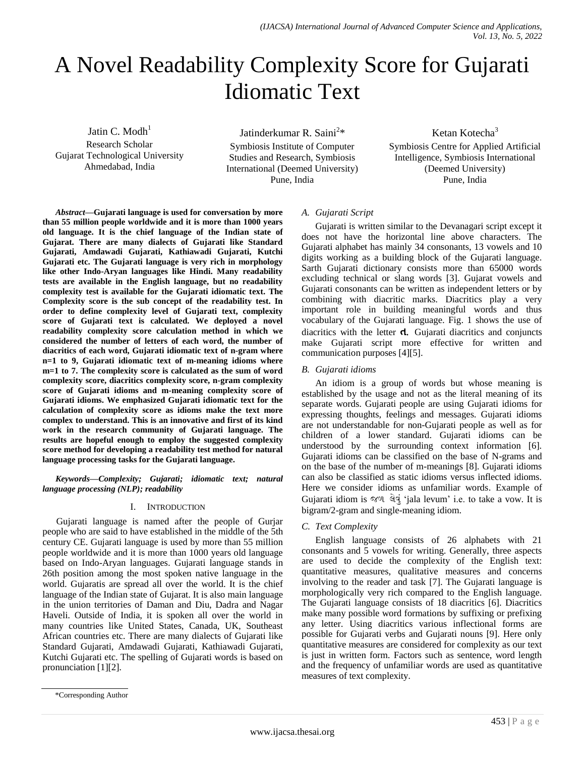# A Novel Readability Complexity Score for Gujarati Idiomatic Text

Jatin C.  $M$ odh $<sup>1</sup>$ </sup> Research Scholar Gujarat Technological University Ahmedabad, India

Jatinderkumar R. Saini<sup>2</sup>\* Symbiosis Institute of Computer Studies and Research, Symbiosis International (Deemed University) Pune, India

Ketan Kotecha<sup>3</sup> Symbiosis Centre for Applied Artificial Intelligence, Symbiosis International (Deemed University) Pune, India

*Abstract***—Gujarati language is used for conversation by more than 55 million people worldwide and it is more than 1000 years old language. It is the chief language of the Indian state of Gujarat. There are many dialects of Gujarati like Standard Gujarati, Amdawadi Gujarati, Kathiawadi Gujarati, Kutchi Gujarati etc. The Gujarati language is very rich in morphology like other Indo-Aryan languages like Hindi. Many readability tests are available in the English language, but no readability complexity test is available for the Gujarati idiomatic text. The Complexity score is the sub concept of the readability test. In order to define complexity level of Gujarati text, complexity score of Gujarati text is calculated. We deployed a novel readability complexity score calculation method in which we considered the number of letters of each word, the number of diacritics of each word, Gujarati idiomatic text of n-gram where n=1 to 9, Gujarati idiomatic text of m-meaning idioms where m=1 to 7. The complexity score is calculated as the sum of word complexity score, diacritics complexity score, n-gram complexity score of Gujarati idioms and m-meaning complexity score of Gujarati idioms. We emphasized Gujarati idiomatic text for the calculation of complexity score as idioms make the text more complex to understand. This is an innovative and first of its kind work in the research community of Gujarati language. The results are hopeful enough to employ the suggested complexity score method for developing a readability test method for natural language processing tasks for the Gujarati language.**

*Keywords—Complexity; Gujarati; idiomatic text; natural language processing (NLP); readability*

## I. INTRODUCTION

Gujarati language is named after the people of Gurjar people who are said to have established in the middle of the 5th century CE. Gujarati language is used by more than 55 million people worldwide and it is more than 1000 years old language based on Indo-Aryan languages. Gujarati language stands in 26th position among the most spoken native language in the world. Gujaratis are spread all over the world. It is the chief language of the Indian state of Gujarat. It is also main language in the union territories of Daman and Diu, Dadra and Nagar Haveli. Outside of India, it is spoken all over the world in many countries like United States, Canada, UK, Southeast African countries etc. There are many dialects of Gujarati like Standard Gujarati, Amdawadi Gujarati, Kathiawadi Gujarati, Kutchi Gujarati etc. The spelling of Gujarati words is based on pronunciation [1][2].

# *A. Gujarati Script*

Gujarati is written similar to the Devanagari script except it does not have the horizontal line above characters. The Gujarati alphabet has mainly 34 consonants, 13 vowels and 10 digits working as a building block of the Gujarati language. Sarth Gujarati dictionary consists more than 65000 words excluding technical or slang words [3]. Gujarat vowels and Gujarati consonants can be written as independent letters or by combining with diacritic marks. Diacritics play a very important role in building meaningful words and thus vocabulary of the Gujarati language. Fig. 1 shows the use of diacritics with the letter **ત**. Gujarati diacritics and conjuncts make Gujarati script more effective for written and communication purposes [4][5].

## *B. Gujarati idioms*

An idiom is a group of words but whose meaning is established by the usage and not as the literal meaning of its separate words. Gujarati people are using Gujarati idioms for expressing thoughts, feelings and messages. Gujarati idioms are not understandable for non-Gujarati people as well as for children of a lower standard. Gujarati idioms can be understood by the surrounding context information [6]. Gujarati idioms can be classified on the base of N-grams and on the base of the number of m-meanings [8]. Gujarati idioms can also be classified as static idioms versus inflected idioms. Here we consider idioms as unfamiliar words. Example of Gujarati idiom is જળ લેવું 'jala levum' i.e. to take a vow. It is bigram/2-gram and single-meaning idiom.

## *C. Text Complexity*

English language consists of 26 alphabets with 21 consonants and 5 vowels for writing. Generally, three aspects are used to decide the complexity of the English text: quantitative measures, qualitative measures and concerns involving to the reader and task [7]. The Gujarati language is morphologically very rich compared to the English language. The Gujarati language consists of 18 diacritics [6]. Diacritics make many possible word formations by suffixing or prefixing any letter. Using diacritics various inflectional forms are possible for Gujarati verbs and Gujarati nouns [9]. Here only quantitative measures are considered for complexity as our text is just in written form. Factors such as sentence, word length and the frequency of unfamiliar words are used as quantitative measures of text complexity.

<sup>\*</sup>Corresponding Author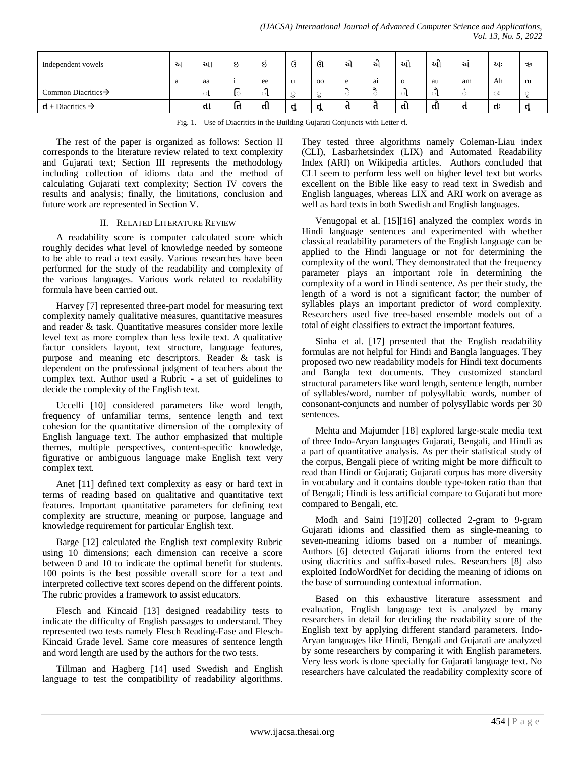| Independent vowels              | ਪ | આ          | ಲ       |    | ◡ | ઊ                    | ᄲ | અ  | આ        | ઓ  | ᄲ  | અઃ    | า⁄∀ |
|---------------------------------|---|------------|---------|----|---|----------------------|---|----|----------|----|----|-------|-----|
|                                 | a | aa         |         | ee | u | $_{\rm oo}$          | e | ai | $\Omega$ | au | am | Ah    | ru  |
| Common Diacritics $\rightarrow$ |   | . <b>.</b> | -<br>ŢС | ◠  | ت | $\ddot{\phantom{1}}$ |   |    |          |    |    | 5.2⊕. |     |
| $d + Diacritics \rightarrow$    |   | તા         | -<br>ાત | αι | q | .የ                   | π | п. | તા       | તૌ |    | п.    |     |

Fig. 1. Use of Diacritics in the Building Gujarati Conjuncts with Letter ત.

The rest of the paper is organized as follows: Section II corresponds to the literature review related to text complexity and Gujarati text; Section III represents the methodology including collection of idioms data and the method of calculating Gujarati text complexity; Section IV covers the results and analysis; finally, the limitations, conclusion and future work are represented in Section V.

#### II. RELATED LITERATURE REVIEW

A readability score is computer calculated score which roughly decides what level of knowledge needed by someone to be able to read a text easily. Various researches have been performed for the study of the readability and complexity of the various languages. Various work related to readability formula have been carried out.

Harvey [7] represented three-part model for measuring text complexity namely qualitative measures, quantitative measures and reader & task. Quantitative measures consider more lexile level text as more complex than less lexile text. A qualitative factor considers layout, text structure, language features, purpose and meaning etc descriptors. Reader & task is dependent on the professional judgment of teachers about the complex text. Author used a Rubric - a set of guidelines to decide the complexity of the English text.

Uccelli [10] considered parameters like word length, frequency of unfamiliar terms, sentence length and text cohesion for the quantitative dimension of the complexity of English language text. The author emphasized that multiple themes, multiple perspectives, content-specific knowledge, figurative or ambiguous language make English text very complex text.

Anet [11] defined text complexity as easy or hard text in terms of reading based on qualitative and quantitative text features. Important quantitative parameters for defining text complexity are structure, meaning or purpose, language and knowledge requirement for particular English text.

Barge [12] calculated the English text complexity Rubric using 10 dimensions; each dimension can receive a score between 0 and 10 to indicate the optimal benefit for students. 100 points is the best possible overall score for a text and interpreted collective text scores depend on the different points. The rubric provides a framework to assist educators.

Flesch and Kincaid [13] designed readability tests to indicate the difficulty of English passages to understand. They represented two tests namely Flesch Reading-Ease and Flesch-Kincaid Grade level. Same core measures of sentence length and word length are used by the authors for the two tests.

Tillman and Hagberg [14] used Swedish and English language to test the compatibility of readability algorithms. They tested three algorithms namely Coleman-Liau index (CLI), Lasbarhetsindex (LIX) and Automated Readability Index (ARI) on Wikipedia articles. Authors concluded that CLI seem to perform less well on higher level text but works excellent on the Bible like easy to read text in Swedish and English languages, whereas LIX and ARI work on average as well as hard texts in both Swedish and English languages.

Venugopal et al. [15][16] analyzed the complex words in Hindi language sentences and experimented with whether classical readability parameters of the English language can be applied to the Hindi language or not for determining the complexity of the word. They demonstrated that the frequency parameter plays an important role in determining the complexity of a word in Hindi sentence. As per their study, the length of a word is not a significant factor; the number of syllables plays an important predictor of word complexity. Researchers used five tree-based ensemble models out of a total of eight classifiers to extract the important features.

Sinha et al. [17] presented that the English readability formulas are not helpful for Hindi and Bangla languages. They proposed two new readability models for Hindi text documents and Bangla text documents. They customized standard structural parameters like word length, sentence length, number of syllables/word, number of polysyllabic words, number of consonant-conjuncts and number of polysyllabic words per 30 sentences.

Mehta and Majumder [18] explored large-scale media text of three Indo-Aryan languages Gujarati, Bengali, and Hindi as a part of quantitative analysis. As per their statistical study of the corpus, Bengali piece of writing might be more difficult to read than Hindi or Gujarati; Gujarati corpus has more diversity in vocabulary and it contains double type-token ratio than that of Bengali; Hindi is less artificial compare to Gujarati but more compared to Bengali, etc.

Modh and Saini [19][20] collected 2-gram to 9-gram Gujarati idioms and classified them as single-meaning to seven-meaning idioms based on a number of meanings. Authors [6] detected Gujarati idioms from the entered text using diacritics and suffix-based rules. Researchers [8] also exploited IndoWordNet for deciding the meaning of idioms on the base of surrounding contextual information.

Based on this exhaustive literature assessment and evaluation, English language text is analyzed by many researchers in detail for deciding the readability score of the English text by applying different standard parameters. Indo-Aryan languages like Hindi, Bengali and Gujarati are analyzed by some researchers by comparing it with English parameters. Very less work is done specially for Gujarati language text. No researchers have calculated the readability complexity score of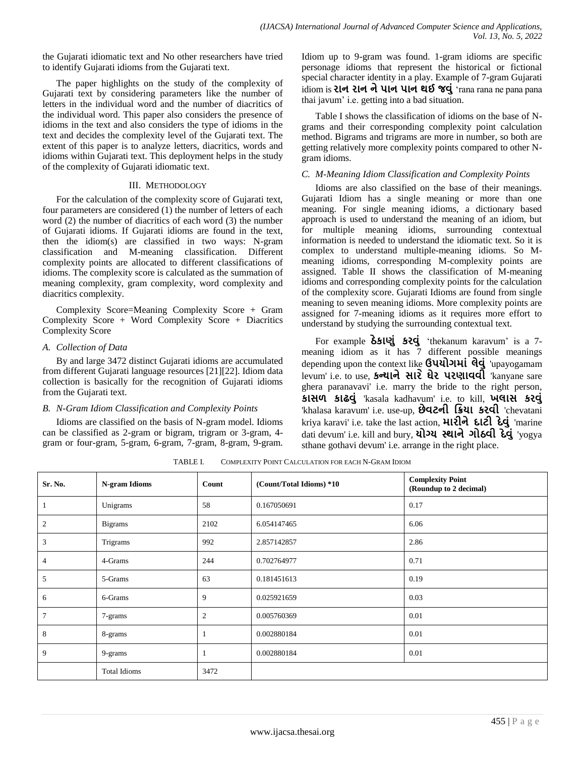the Gujarati idiomatic text and No other researchers have tried to identify Gujarati idioms from the Gujarati text.

The paper highlights on the study of the complexity of Gujarati text by considering parameters like the number of letters in the individual word and the number of diacritics of the individual word. This paper also considers the presence of idioms in the text and also considers the type of idioms in the text and decides the complexity level of the Gujarati text. The extent of this paper is to analyze letters, diacritics, words and idioms within Gujarati text. This deployment helps in the study of the complexity of Gujarati idiomatic text.

#### III. METHODOLOGY

For the calculation of the complexity score of Gujarati text, four parameters are considered (1) the number of letters of each word (2) the number of diacritics of each word (3) the number of Gujarati idioms. If Gujarati idioms are found in the text, then the idiom(s) are classified in two ways: N-gram classification and M-meaning classification. Different complexity points are allocated to different classifications of idioms. The complexity score is calculated as the summation of meaning complexity, gram complexity, word complexity and diacritics complexity.

Complexity Score=Meaning Complexity Score + Gram Complexity Score + Word Complexity Score + Diacritics Complexity Score

# *A. Collection of Data*

By and large 3472 distinct Gujarati idioms are accumulated from different Gujarati language resources [21][22]. Idiom data collection is basically for the recognition of Gujarati idioms from the Gujarati text.

## *B. N-Gram Idiom Classification and Complexity Points*

Idioms are classified on the basis of N-gram model. Idioms can be classified as 2-gram or bigram, trigram or 3-gram, 4 gram or four-gram, 5-gram, 6-gram, 7-gram, 8-gram, 9-gram. Idiom up to 9-gram was found. 1-gram idioms are specific personage idioms that represent the historical or fictional special character identity in a play. Example of 7-gram Gujarati idiom is **ર ન ર ન ન પ ન પ ન થઈ જળ** "rana rana ne pana pana thai javum' i.e. getting into a bad situation.

Table I shows the classification of idioms on the base of Ngrams and their corresponding complexity point calculation method. Bigrams and trigrams are more in number, so both are getting relatively more complexity points compared to other Ngram idioms.

# *C. M-Meaning Idiom Classification and Complexity Points*

Idioms are also classified on the base of their meanings. Gujarati Idiom has a single meaning or more than one meaning. For single meaning idioms, a dictionary based approach is used to understand the meaning of an idiom, but for multiple meaning idioms, surrounding contextual information is needed to understand the idiomatic text. So it is complex to understand multiple-meaning idioms. So Mmeaning idioms, corresponding M-complexity points are assigned. Table II shows the classification of M-meaning idioms and corresponding complexity points for the calculation of the complexity score. Gujarati Idioms are found from single meaning to seven meaning idioms. More complexity points are assigned for 7-meaning idioms as it requires more effort to understand by studying the surrounding contextual text.

For example **ઠ ક ણ કરળ** "thekanum karavum" is a 7 meaning idiom as it has 7 different possible meanings depending upon the context like **ઉપયોગમાં લેવું** 'upayogamam levum' i.e. to use, **કન્ય ન સ ર ઘ ર પરણ ળળ** 'kanyane sare ghera paranavavi' i.e. marry the bride to the right person, **ક સલ ક ઢળ** 'kasala kadhavum' i.e. to kill, **ખ સ કરળ**  'khalasa karavum' i.e. use-up, **છ ળટન િિય કરળ** 'chevatani kriya karavi' i.e. take the last action, **મારીને દાટી દેવું** 'marine dati devum' i.e. kill and bury, **યોગ્ય સ્થાને ગોઠવી દેવું** 'yogya sthane gothavi devum' i.e. arrange in the right place.

| Sr. No.        | <b>N-gram Idioms</b> | Count          | (Count/Total Idioms) *10 | <b>Complexity Point</b><br>(Roundup to 2 decimal) |
|----------------|----------------------|----------------|--------------------------|---------------------------------------------------|
| -1             | Unigrams             | 58             | 0.167050691              | 0.17                                              |
| $\overline{2}$ | <b>Bigrams</b>       | 2102           | 6.054147465              | 6.06                                              |
| 3              | Trigrams             | 992            | 2.857142857              | 2.86                                              |
| $\overline{4}$ | 4-Grams              | 244            | 0.702764977              | 0.71                                              |
| 5              | 5-Grams              | 63             | 0.181451613              | 0.19                                              |
| 6              | 6-Grams              | 9              | 0.025921659              | 0.03                                              |
| 7              | 7-grams              | $\mathfrak{2}$ | 0.005760369              | 0.01                                              |
| 8              | 8-grams              | $\mathbf{1}$   | 0.002880184              | 0.01                                              |
| 9              | 9-grams              | 1              | 0.002880184              | 0.01                                              |
|                | <b>Total Idioms</b>  | 3472           |                          |                                                   |

TABLE I. COMPLEXITY POINT CALCULATION FOR EACH N-GRAM IDIOM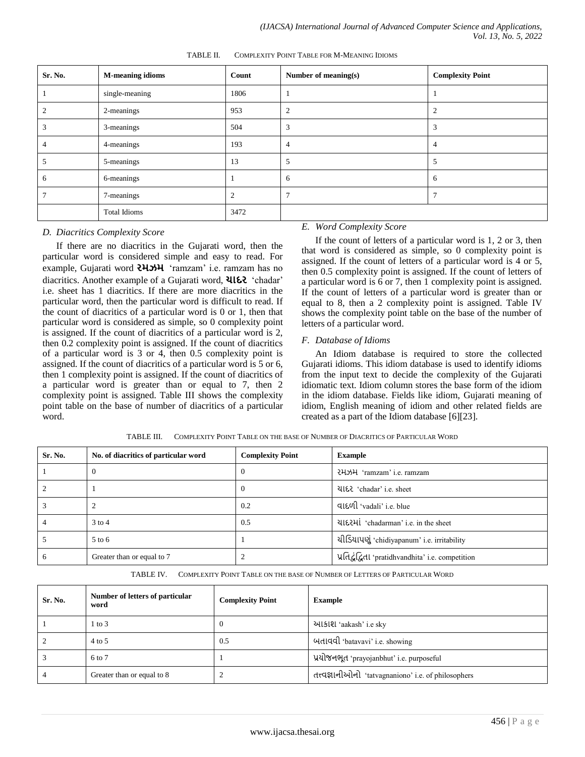| Sr. No.        | <b>M-meaning idioms</b> | Count          | Number of meaning(s) | <b>Complexity Point</b> |
|----------------|-------------------------|----------------|----------------------|-------------------------|
|                | single-meaning          | 1806           |                      |                         |
| $\overline{2}$ | 2-meanings              | 953            | $\overline{2}$       | $\overline{2}$          |
| 3              | 3-meanings              | 504            | 3                    | 3                       |
| $\overline{4}$ | 4-meanings              | 193            | $\overline{4}$       | 4                       |
| 5              | 5-meanings              | 13             | 5                    | 5                       |
| 6              | 6-meanings              |                | 6                    | 6                       |
| $\overline{7}$ | 7-meanings              | $\overline{2}$ |                      | π                       |
|                | <b>Total Idioms</b>     | 3472           |                      |                         |

TABLE II. COMPLEXITY POINT TABLE FOR M-MEANING IDIOMS

## *D. Diacritics Complexity Score*

If there are no diacritics in the Gujarati word, then the particular word is considered simple and easy to read. For example, Gujarati word **રમઝમ** "ramzam" i.e. ramzam has no diacritics. Another example of a Gujarati word, **ચાદર** 'chadar' i.e. sheet has 1 diacritics. If there are more diacritics in the particular word, then the particular word is difficult to read. If the count of diacritics of a particular word is 0 or 1, then that particular word is considered as simple, so 0 complexity point is assigned. If the count of diacritics of a particular word is 2, then 0.2 complexity point is assigned. If the count of diacritics of a particular word is 3 or 4, then 0.5 complexity point is assigned. If the count of diacritics of a particular word is 5 or 6, then 1 complexity point is assigned. If the count of diacritics of a particular word is greater than or equal to 7, then 2 complexity point is assigned. Table III shows the complexity point table on the base of number of diacritics of a particular word.

# *E. Word Complexity Score*

If the count of letters of a particular word is 1, 2 or 3, then that word is considered as simple, so 0 complexity point is assigned. If the count of letters of a particular word is 4 or 5, then 0.5 complexity point is assigned. If the count of letters of a particular word is 6 or 7, then 1 complexity point is assigned. If the count of letters of a particular word is greater than or equal to 8, then a 2 complexity point is assigned. Table IV shows the complexity point table on the base of the number of letters of a particular word.

## *F. Database of Idioms*

An Idiom database is required to store the collected Gujarati idioms. This idiom database is used to identify idioms from the input text to decide the complexity of the Gujarati idiomatic text. Idiom column stores the base form of the idiom in the idiom database. Fields like idiom, Gujarati meaning of idiom, English meaning of idiom and other related fields are created as a part of the Idiom database [6][23].

| Sr. No. | No. of diacritics of particular word | <b>Complexity Point</b> | <b>Example</b>                                     |
|---------|--------------------------------------|-------------------------|----------------------------------------------------|
|         | 0                                    | $\theta$                | 건나 'ramzam' i.e. ramzam                            |
|         |                                      | $\theta$                | યાદર 'chadar' i.e. sheet                           |
|         |                                      | 0.2                     | વાદળી 'vadali' i.e. blue                           |
|         | $3$ to 4                             | 0.5                     | યાદરમાં 'chadarman' i.e. in the sheet              |
|         | $5$ to 6                             |                         | યીડિયાપણું 'chidiyapanum' i.e. irritability        |
| h       | Greater than or equal to 7           |                         | प्रतिद्वंद्विता 'pratidhvandhita' i.e. competition |

TABLE III. COMPLEXITY POINT TABLE ON THE BASE OF NUMBER OF DIACRITICS OF PARTICULAR WORD

TABLE IV. COMPLEXITY POINT TABLE ON THE BASE OF NUMBER OF LETTERS OF PARTICULAR WORD

| Sr. No. | Number of letters of particular<br>word | <b>Complexity Point</b> | <b>Example</b>                                       |
|---------|-----------------------------------------|-------------------------|------------------------------------------------------|
|         | $1$ to $3$                              | v                       | આકાશ 'aakash' i.e sky                                |
|         | $4$ to 5                                | 0.5                     | બતાવવી 'batavavi' i.e. showing                       |
|         | 6 to 7                                  |                         | પ્રયોજનભૂત 'prayojanbhut' i.e. purposeful            |
|         | Greater than or equal to 8              |                         | तत्त्वज्ञानीओनो 'tatvagnaniono' i.e. of philosophers |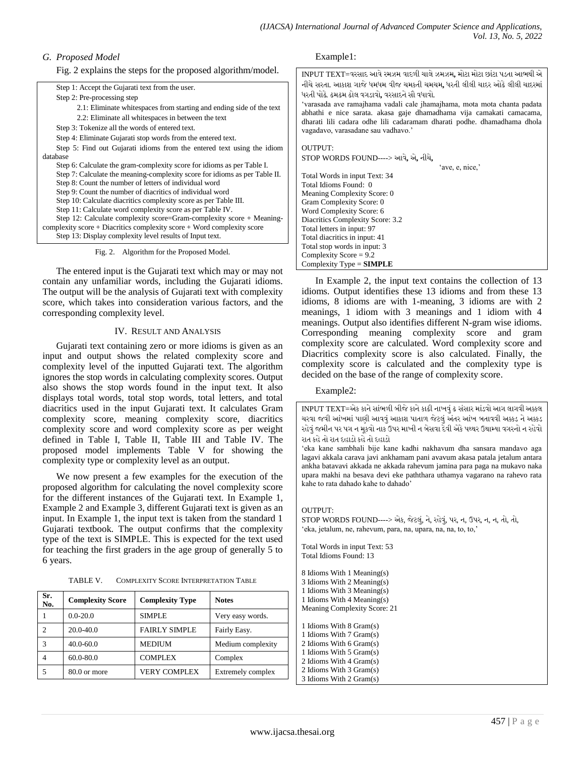# *G. Proposed Model*

Fig. 2 explains the steps for the proposed algorithm/model.

| Step 1: Accept the Gujarati text from the user.<br>Step 2: Pre-processing step<br>2.1: Eliminate whitespaces from starting and ending side of the text<br>2.2: Eliminate all whitespaces in between the text | નીચે સરતા. આકાશ ગાજે ધમધમ<br>ધરતી પોઢે. ઢમઢમ ઢોલ વગડાવો. વ<br>'varasada ave ramajhama y<br>abhathi e nice sarata. aka<br>dharati lili cadara odhe lil |
|--------------------------------------------------------------------------------------------------------------------------------------------------------------------------------------------------------------|-------------------------------------------------------------------------------------------------------------------------------------------------------|
| Step 3: Tokenize all the words of entered text.<br>Step 4: Eliminate Gujarati stop words from the entered text.                                                                                              | vagadavo, varasadane sau v                                                                                                                            |
| Step 5: Find out Gujarati idioms from the entered text using the idiom                                                                                                                                       | <b>OUTPUT:</b>                                                                                                                                        |
| database                                                                                                                                                                                                     | <b>STOP WORDS FOUND---</b>                                                                                                                            |
| Step 6: Calculate the gram-complexity score for idioms as per Table I.                                                                                                                                       |                                                                                                                                                       |
| Step 7: Calculate the meaning-complexity score for idioms as per Table II.                                                                                                                                   | Total Words in input Text:                                                                                                                            |
| Step 8: Count the number of letters of individual word                                                                                                                                                       | Total Idioms Found: 0                                                                                                                                 |
| Step 9: Count the number of diacritics of individual word                                                                                                                                                    | <b>Meaning Complexity Score</b>                                                                                                                       |
| Step 10: Calculate diacritics complexity score as per Table III.                                                                                                                                             | Gram Complexity Score: 0                                                                                                                              |
| Step 11: Calculate word complexity score as per Table IV.                                                                                                                                                    | Word Complexity Score: 6                                                                                                                              |
| Step 12: Calculate complexity score=Gram-complexity score $+$ Meaning-                                                                                                                                       | <b>Diacritics Complexity Score</b>                                                                                                                    |
| complexity $score + Diacritics$ complexity $score + Word$ complexity $score$                                                                                                                                 | Total letters in input: 97                                                                                                                            |
| Step 13: Display complexity level results of Input text.                                                                                                                                                     | Total diacritics in input: 41                                                                                                                         |
| Algorithm for the Proposed Model.<br>Fig. $2$ .                                                                                                                                                              | Total stop words in input: 3<br>Complexity Score = $9.2$                                                                                              |

The entered input is the Gujarati text which may or may not contain any unfamiliar words, including the Gujarati idioms. The output will be the analysis of Gujarati text with complexity score, which takes into consideration various factors, and the corresponding complexity level.

## IV. RESULT AND ANALYSIS

Gujarati text containing zero or more idioms is given as an input and output shows the related complexity score and complexity level of the inputted Gujarati text. The algorithm ignores the stop words in calculating complexity scores. Output also shows the stop words found in the input text. It also displays total words, total stop words, total letters, and total diacritics used in the input Gujarati text. It calculates Gram complexity score, meaning complexity score, diacritics complexity score and word complexity score as per weight defined in Table I, Table II, Table III and Table IV. The proposed model implements Table V for showing the complexity type or complexity level as an output.

We now present a few examples for the execution of the proposed algorithm for calculating the novel complexity score for the different instances of the Gujarati text. In Example 1, Example 2 and Example 3, different Gujarati text is given as an input. In Example 1, the input text is taken from the standard 1 Gujarati textbook. The output confirms that the complexity type of the text is SIMPLE. This is expected for the text used for teaching the first graders in the age group of generally 5 to 6 years.

TABLE V. COMPLEXITY SCORE INTERPRETATION TABLE

| Sr.<br>No. | <b>Complexity Score</b> | <b>Complexity Type</b> | <b>Notes</b>      |
|------------|-------------------------|------------------------|-------------------|
|            | $0.0 - 20.0$            | <b>SIMPLE</b>          | Very easy words.  |
|            | $20.0 - 40.0$           | <b>FAIRLY SIMPLE</b>   | Fairly Easy.      |
| 3          | $40.0 - 60.0$           | <b>MEDIUM</b>          | Medium complexity |
|            | 60.0-80.0               | <b>COMPLEX</b>         | Complex           |
|            | 80.0 or more            | VERY COMPLEX           | Extremely complex |

# Example1:

 $\mid$  INPUT TEXT=વરસાદ આવે રમઝમ વાદળી ચાલે ઝમઝમ, મોટા મોટા છાંટા પડતા આભથી એ આકાશ ગાજે ધમધમ વીજ ચમકતી ચમચમ, ધરતી લીલી ચાદર ઓઢે લીલી ચાદરમાં .<br>.<br>મઢમ ઢોલ વગડાવો**,** વરસાદને સૌ વધાવો. ave ramajhama vadali cale jhamajhama, mota mota chanta padata nice sarata. akasa gaje dhamadhama vija camakati camacama, li cadara odhe lili cadaramam dharati podhe. dhamadhama dhola varasadane sau vadhavo.' OUTPUT: STOP WORDS FOUND----> આળે**,** એ**,** નીચે**,** 'ave, e, nice, rds in input Text: 34 ms Found: 0 Complexity Score: 0 nplexity Score: 0 nplexity Score: 6 Complexity Score: 3.2 rs in input: 97 critics in input: 41

In Example 2, the input text contains the collection of 13 idioms. Output identifies these 13 idioms and from these 13 idioms, 8 idioms are with 1-meaning, 3 idioms are with 2 meanings, 1 idiom with 3 meanings and 1 idiom with 4 meanings. Output also identifies different N-gram wise idioms. Corresponding meaning complexity score and gram complexity score are calculated. Word complexity score and Diacritics complexity score is also calculated. Finally, the complexity score is calculated and the complexity type is decided on the base of the range of complexity score.

#### Example2:

Complexity Type = **SIMPLE**

INPUT TEXT=એક કાને સાંભળી બીજે કાને કાઢી નાખવું ઢ સંસાર માંડવો આગ લાગવી અક્કલ ચરવા જવી આંખમાં પાણી આવવું આકાશ પાતાળ જેટલું અંતર આંખ બતાવવી અક્કડ ને અક્કડ રહેવં જમીન પર પગ ન મકવો નાક ઉપર માખી ન બેસવા દેવી એકે પથ્થર ઉથામ્યા વગરનો ન રહેવો રાત કષેતો રાત દષાડો કષેતો દષાડો

"eka kane sambhali bije kane kadhi nakhavum dha sansara mandavo aga lagavi akkala carava javi ankhamam pani avavum akasa patala jetalum antara ankha batavavi akkada ne akkada rahevum jamina para paga na mukavo naka upara makhi na besava devi eke paththara uthamya vagarano na rahevo rata kahe to rata dahado kahe to dahado"

#### OUTPUT:

STOP WORDS FOUND----> એક, જેટલું, ને, રહેવું, પર, ન, ઉપર, ન, ન, તો, તો, 'eka, jetalum, ne, rahevum, para, na, upara, na, na, to, to,'

Total Words in input Text: 53 Total Idioms Found: 13

8 Idioms With 1 Meaning(s) 3 Idioms With 2 Meaning(s)

1 Idioms With 3 Meaning(s)

1 Idioms With 4 Meaning(s) Meaning Complexity Score: 21

1 Idioms With 8 Gram(s) 1 Idioms With 7 Gram(s) 2 Idioms With 6 Gram(s) 1 Idioms With 5 Gram(s) 2 Idioms With 4 Gram(s)

2 Idioms With 3 Gram(s) 3 Idioms With 2 Gram(s)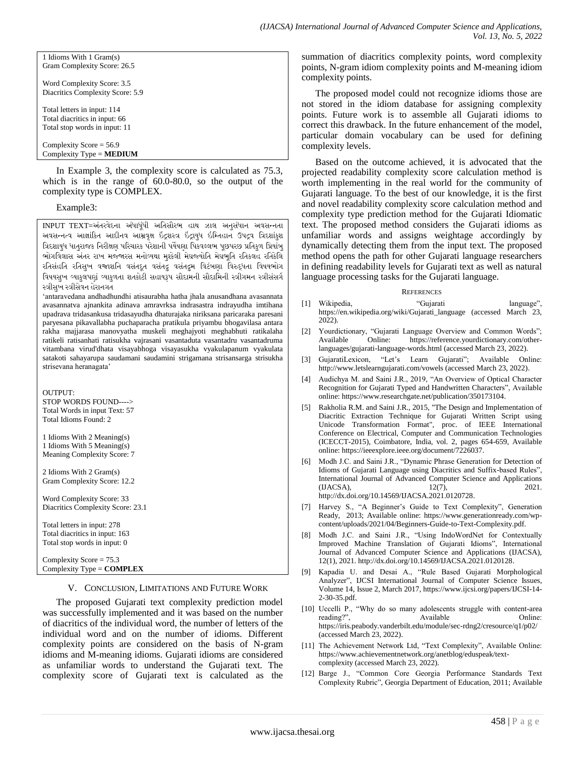1 Idioms With 1 Gram(s) Gram Complexity Score: 26.5

Word Complexity Score: 3.5 Diacritics Complexity Score: 5.9

Total letters in input: 114 Total diacritics in input: 66 Total stop words in input: 11

Complexity Score = 56.9 Complexity Type = **MEDIUM**

In Example 3, the complexity score is calculated as 75.3, which is in the range of 60.0-80.0, so the output of the complexity type is COMPLEX.

Example3:

INPUT TEXT=અંતરવેદના અંધાધૂંધી અતિસૌરભ હાથ ઝાલ અનુસંધાન અવસન્નતા અવસન્નત્વ આજ્ઞાંકિત આદીનવ આમ્રવૃક્ષ ઇંદ્રશસ્ત્ર ઇંદ્રાયુધ ઇમ્તિહાન ઉપદ્રવ ત્રિદશાંકુશ ત્રિદશાયુધ ધાતુરાજક નિરીક્ષણ પરિચારક પરેશાની પર્યેષણા પિકવલ્લભ પૂછપરછ પ્રતિકુળ પ્રિયાંબુ ભોગવિલાસ અંતર રાખ મજ્જારસ મનોવ્યથા મુશ્કેલી મેઘજ્યોતિ મેઘભૂતિ રતિકલહ રતિકેલિ રતિસંહતિ રતિસુખ વજ્રાશનિ વસંતદૂત વસંતદ્રુ વસંતદ્રુમ વિટંબણા વિરુદ્ધતા વિષયભોગ વિષયસુખ વ્યાકુલપણું વ્યાકુળતા શતકોટી સહાયરૂપ સૌદામની સૌદામિની સ્ત્રીગમન સ્ત્રીસંસર્ગ સ્ત્રીસખ સ્ત્રીસેવન હેરાનગત

"antaravedana andhadhundhi atisaurabha hatha jhala anusandhana avasannata avasannatva ajnankita adinava amravrksa indrasastra indrayudha imtihana upadrava tridasankusa tridasayudha dhaturajaka niriksana paricaraka paresani paryesana pikavallabha puchaparacha pratikula priyambu bhogavilasa antara rakha majjarasa manovyatha muskeli meghajyoti meghabhuti ratikalaha ratikeli ratisanhati ratisukha vajrasani vasantaduta vasantadru vasantadruma vitambana virud'dhata visayabhoga visayasukha vyakulapanum vyakulata satakoti sahayarupa saudamani saudamini strigamana strisansarga strisukha strisevana heranagata'

OUTPUT: STOP WORDS FOUND----> Total Words in input Text: 57 Total Idioms Found: 2 1 Idioms With 2 Meaning(s)

1 Idioms With 5 Meaning(s) Meaning Complexity Score: 7

2 Idioms With 2 Gram(s) Gram Complexity Score: 12.2

Word Complexity Score: 33 Diacritics Complexity Score: 23.1

Total letters in input: 278 Total diacritics in input: 163 Total stop words in input: 0

Complexity Score = 75.3 Complexity Type = **COMPLEX**

## V. CONCLUSION, LIMITATIONS AND FUTURE WORK

The proposed Gujarati text complexity prediction model was successfully implemented and it was based on the number of diacritics of the individual word, the number of letters of the individual word and on the number of idioms. Different complexity points are considered on the basis of N-gram idioms and M-meaning idioms. Gujarati idioms are considered as unfamiliar words to understand the Gujarati text. The complexity score of Gujarati text is calculated as the summation of diacritics complexity points, word complexity points, N-gram idiom complexity points and M-meaning idiom complexity points.

The proposed model could not recognize idioms those are not stored in the idiom database for assigning complexity points. Future work is to assemble all Gujarati idioms to correct this drawback. In the future enhancement of the model, particular domain vocabulary can be used for defining complexity levels.

Based on the outcome achieved, it is advocated that the projected readability complexity score calculation method is worth implementing in the real world for the community of Gujarati language. To the best of our knowledge, it is the first and novel readability complexity score calculation method and complexity type prediction method for the Gujarati Idiomatic text. The proposed method considers the Gujarati idioms as unfamiliar words and assigns weightage accordingly by dynamically detecting them from the input text. The proposed method opens the path for other Gujarati language researchers in defining readability levels for Gujarati text as well as natural language processing tasks for the Gujarati language.

#### **REFERENCES**

- [1] Wikipedia, "Gujarati language", https://en.wikipedia.org/wiki/Gujarati\_language (accessed March 23, 2022).
- [2] Yourdictionary, "Gujarati Language Overview and Common Words"; Available Online: https://reference.yourdictionary.com/otherlanguages/gujarati-language-words.html (accessed March 23, 2022).
- [3] GujaratiLexicon, "Let's Learn Gujarati"; Available Online: http://www.letslearngujarati.com/vowels (accessed March 23, 2022).
- [4] Audichya M. and Saini J.R., 2019, "An Overview of Optical Character Recognition for Gujarati Typed and Handwritten Characters", Available online: https://www.researchgate.net/publication/350173104.
- [5] Rakholia R.M. and Saini J.R., 2015, "The Design and Implementation of Diacritic Extraction Technique for Gujarati Written Script using Unicode Transformation Format", proc. of IEEE International Conference on Electrical, Computer and Communication Technologies (ICECCT-2015), Coimbatore, India, vol. 2, pages 654-659, Available online: https://ieeexplore.ieee.org/document/7226037.
- Modh J.C. and Saini J.R., "Dynamic Phrase Generation for Detection of Idioms of Gujarati Language using Diacritics and Suffix-based Rules", International Journal of Advanced Computer Science and Applications (IJACSA), 2021.  $(IIACSA)$ , http://dx.doi.org/10.14569/IJACSA.2021.0120728.
- [7] Harvey S., "A Beginner"s Guide to Text Complexity", Generation Ready, 2013; Available online: https://www.generationready.com/wpcontent/uploads/2021/04/Beginners-Guide-to-Text-Complexity.pdf.
- [8] Modh J.C. and Saini J.R., "Using IndoWordNet for Contextually Improved Machine Translation of Gujarati Idioms", International Journal of Advanced Computer Science and Applications (IJACSA), 12(1), 2021. http://dx.doi.org/10.14569/IJACSA.2021.0120128.
- [9] Kapadia U. and Desai A., "Rule Based Gujarati Morphological Analyzer", IJCSI International Journal of Computer Science Issues, Volume 14, Issue 2, March 2017, https://www.ijcsi.org/papers/IJCSI-14- 2-30-35.pdf.
- [10] Uccelli P., "Why do so many adolescents struggle with content-area reading?", Available Online: https://iris.peabody.vanderbilt.edu/module/sec-rdng2/cresource/q1/p02/ (accessed March 23, 2022).
- [11] The Achievement Network Ltd, "Text Complexity", Available Online: https://www.achievementnetwork.org/anetblog/eduspeak/textcomplexity (accessed March 23, 2022).
- [12] Barge J., "Common Core Georgia Performance Standards Text Complexity Rubric", Georgia Department of Education, 2011; Available